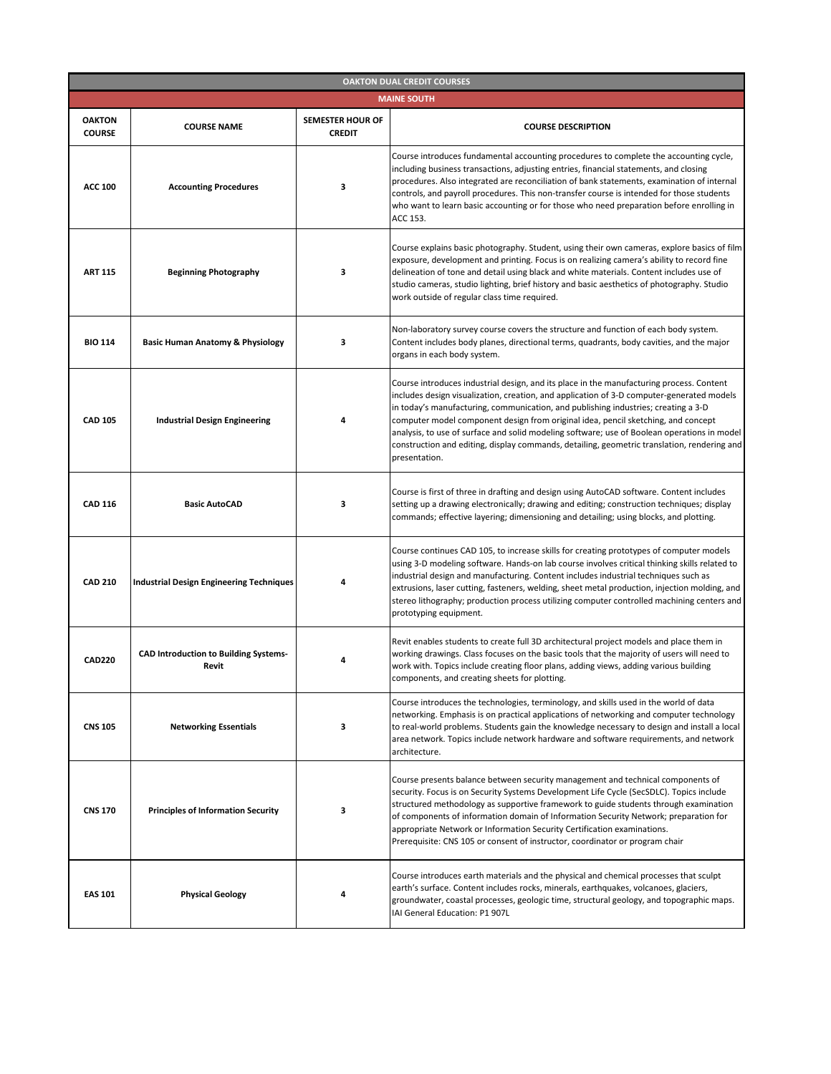| <b>OAKTON DUAL CREDIT COURSES</b> |                                                       |                                          |                                                                                                                                                                                                                                                                                                                                                                                                                                                                                                                                                                                 |  |
|-----------------------------------|-------------------------------------------------------|------------------------------------------|---------------------------------------------------------------------------------------------------------------------------------------------------------------------------------------------------------------------------------------------------------------------------------------------------------------------------------------------------------------------------------------------------------------------------------------------------------------------------------------------------------------------------------------------------------------------------------|--|
| <b>MAINE SOUTH</b>                |                                                       |                                          |                                                                                                                                                                                                                                                                                                                                                                                                                                                                                                                                                                                 |  |
| <b>OAKTON</b><br><b>COURSE</b>    | <b>COURSE NAME</b>                                    | <b>SEMESTER HOUR OF</b><br><b>CREDIT</b> | <b>COURSE DESCRIPTION</b>                                                                                                                                                                                                                                                                                                                                                                                                                                                                                                                                                       |  |
| <b>ACC 100</b>                    | <b>Accounting Procedures</b>                          | 3                                        | Course introduces fundamental accounting procedures to complete the accounting cycle,<br>including business transactions, adjusting entries, financial statements, and closing<br>procedures. Also integrated are reconciliation of bank statements, examination of internal<br>controls, and payroll procedures. This non-transfer course is intended for those students<br>who want to learn basic accounting or for those who need preparation before enrolling in<br>ACC 153.                                                                                               |  |
| <b>ART 115</b>                    | <b>Beginning Photography</b>                          | 3                                        | Course explains basic photography. Student, using their own cameras, explore basics of film<br>exposure, development and printing. Focus is on realizing camera's ability to record fine<br>delineation of tone and detail using black and white materials. Content includes use of<br>studio cameras, studio lighting, brief history and basic aesthetics of photography. Studio<br>work outside of regular class time required.                                                                                                                                               |  |
| <b>BIO 114</b>                    | <b>Basic Human Anatomy &amp; Physiology</b>           | 3                                        | Non-laboratory survey course covers the structure and function of each body system.<br>Content includes body planes, directional terms, quadrants, body cavities, and the major<br>organs in each body system.                                                                                                                                                                                                                                                                                                                                                                  |  |
| <b>CAD 105</b>                    | <b>Industrial Design Engineering</b>                  | 4                                        | Course introduces industrial design, and its place in the manufacturing process. Content<br>includes design visualization, creation, and application of 3-D computer-generated models<br>in today's manufacturing, communication, and publishing industries; creating a 3-D<br>computer model component design from original idea, pencil sketching, and concept<br>analysis, to use of surface and solid modeling software; use of Boolean operations in model<br>construction and editing, display commands, detailing, geometric translation, rendering and<br>presentation. |  |
| <b>CAD 116</b>                    | <b>Basic AutoCAD</b>                                  | 3                                        | Course is first of three in drafting and design using AutoCAD software. Content includes<br>setting up a drawing electronically; drawing and editing; construction techniques; display<br>commands; effective layering; dimensioning and detailing; using blocks, and plotting.                                                                                                                                                                                                                                                                                                 |  |
| <b>CAD 210</b>                    | <b>Industrial Design Engineering Techniques</b>       |                                          | Course continues CAD 105, to increase skills for creating prototypes of computer models<br>using 3-D modeling software. Hands-on lab course involves critical thinking skills related to<br>industrial design and manufacturing. Content includes industrial techniques such as<br>extrusions, laser cutting, fasteners, welding, sheet metal production, injection molding, and<br>stereo lithography; production process utilizing computer controlled machining centers and<br>prototyping equipment.                                                                        |  |
| <b>CAD220</b>                     | <b>CAD Introduction to Building Systems-</b><br>Revit |                                          | Revit enables students to create full 3D architectural project models and place them in<br>working drawings. Class focuses on the basic tools that the majority of users will need to<br>work with. Topics include creating floor plans, adding views, adding various building<br>components, and creating sheets for plotting.                                                                                                                                                                                                                                                 |  |
| <b>CNS 105</b>                    | <b>Networking Essentials</b>                          | 3                                        | Course introduces the technologies, terminology, and skills used in the world of data<br>networking. Emphasis is on practical applications of networking and computer technology<br>to real-world problems. Students gain the knowledge necessary to design and install a local<br>area network. Topics include network hardware and software requirements, and network<br>architecture.                                                                                                                                                                                        |  |
| <b>CNS 170</b>                    | <b>Principles of Information Security</b>             | 3                                        | Course presents balance between security management and technical components of<br>security. Focus is on Security Systems Development Life Cycle (SecSDLC). Topics include<br>structured methodology as supportive framework to guide students through examination<br>of components of information domain of Information Security Network; preparation for<br>appropriate Network or Information Security Certification examinations.<br>Prerequisite: CNS 105 or consent of instructor, coordinator or program chair                                                           |  |
| <b>EAS 101</b>                    | <b>Physical Geology</b>                               | 4                                        | Course introduces earth materials and the physical and chemical processes that sculpt<br>earth's surface. Content includes rocks, minerals, earthquakes, volcanoes, glaciers,<br>groundwater, coastal processes, geologic time, structural geology, and topographic maps.<br>IAI General Education: P1 907L                                                                                                                                                                                                                                                                     |  |